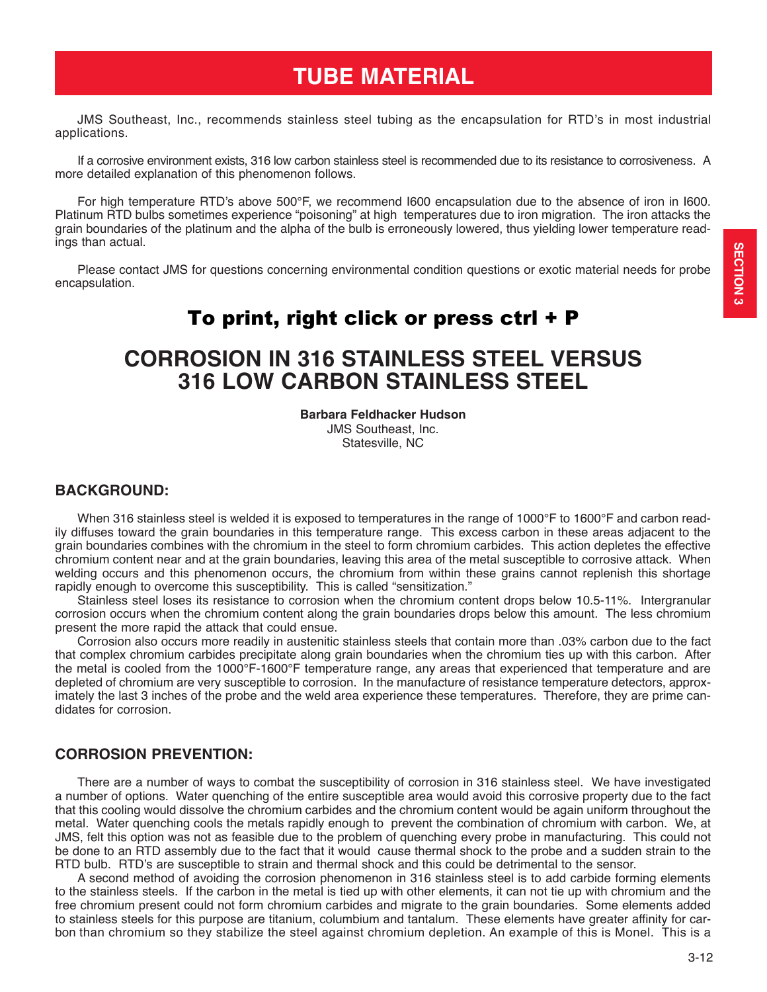### To print, right click or press ctrl + P

## **CORROSION IN 316 STAINLESS STEEL VERSUS 316 LOW CARBON STAINLESS STEEL**

**Barbara Feldhacker Hudson**

JMS Southeast, Inc. Statesville, NC

#### **BACKGROUND:**

When 316 stainless steel is welded it is exposed to temperatures in the range of 1000°F to 1600°F and carbon readily diffuses toward the grain boundaries in this temperature range. This excess carbon in these areas adjacent to the grain boundaries combines with the chromium in the steel to form chromium carbides. This action depletes the effective chromium content near and at the grain boundaries, leaving this area of the metal susceptible to corrosive attack. When welding occurs and this phenomenon occurs, the chromium from within these grains cannot replenish this shortage rapidly enough to overcome this susceptibility. This is called "sensitization."

Stainless steel loses its resistance to corrosion when the chromium content drops below 10.5-11%. Intergranular corrosion occurs when the chromium content along the grain boundaries drops below this amount. The less chromium present the more rapid the attack that could ensue.

Corrosion also occurs more readily in austenitic stainless steels that contain more than .03% carbon due to the fact that complex chromium carbides precipitate along grain boundaries when the chromium ties up with this carbon. After the metal is cooled from the 1000°F-1600°F temperature range, any areas that experienced that temperature and are depleted of chromium are very susceptible to corrosion. In the manufacture of resistance temperature detectors, approximately the last 3 inches of the probe and the weld area experience these temperatures. Therefore, they are prime candidates for corrosion.

#### **CORROSION PREVENTION:**

There are a number of ways to combat the susceptibility of corrosion in 316 stainless steel. We have investigated a number of options. Water quenching of the entire susceptible area would avoid this corrosive property due to the fact that this cooling would dissolve the chromium carbides and the chromium content would be again uniform throughout the metal. Water quenching cools the metals rapidly enough to prevent the combination of chromium with carbon. We, at JMS, felt this option was not as feasible due to the problem of quenching every probe in manufacturing. This could not be done to an RTD assembly due to the fact that it would cause thermal shock to the probe and a sudden strain to the RTD bulb. RTD's are susceptible to strain and thermal shock and this could be detrimental to the sensor.

A second method of avoiding the corrosion phenomenon in 316 stainless steel is to add carbide forming elements to the stainless steels. If the carbon in the metal is tied up with other elements, it can not tie up with chromium and the free chromium present could not form chromium carbides and migrate to the grain boundaries. Some elements added to stainless steels for this purpose are titanium, columbium and tantalum. These elements have greater affinity for carbon than chromium so they stabilize the steel against chromium depletion. An example of this is Monel. This is a